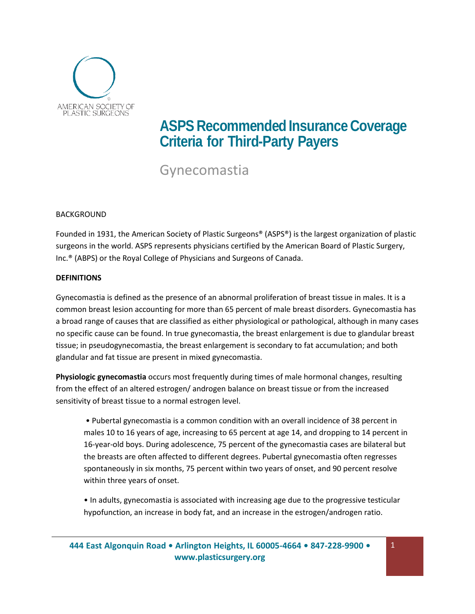

# **ASPS** Recommended Insurance Coverage **Criteria for Third-Party Payers**

Gynecomastia

## BACKGROUND

Founded in 1931, the American Society of Plastic Surgeons® (ASPS®) is the largest organization of plastic surgeons in the world. ASPS represents physicians certified by the American Board of Plastic Surgery, Inc.® (ABPS) or the Royal College of Physicians and Surgeons of Canada.

### **DEFINITIONS**

Gynecomastia is defined as the presence of an abnormal proliferation of breast tissue in males. It is a common breast lesion accounting for more than 65 percent of male breast disorders. Gynecomastia has a broad range of causes that are classified as either physiological or pathological, although in many cases no specific cause can be found. In true gynecomastia, the breast enlargement is due to glandular breast tissue; in pseudogynecomastia, the breast enlargement is secondary to fat accumulation; and both glandular and fat tissue are present in mixed gynecomastia.

**Physiologic gynecomastia** occurs most frequently during times of male hormonal changes, resulting from the effect of an altered estrogen/ androgen balance on breast tissue or from the increased sensitivity of breast tissue to a normal estrogen level.

• Pubertal gynecomastia is a common condition with an overall incidence of 38 percent in males 10 to 16 years of age, increasing to 65 percent at age 14, and dropping to 14 percent in 16-year-old boys. During adolescence, 75 percent of the gynecomastia cases are bilateral but the breasts are often affected to different degrees. Pubertal gynecomastia often regresses spontaneously in six months, 75 percent within two years of onset, and 90 percent resolve within three years of onset.

• In adults, gynecomastia is associated with increasing age due to the progressive testicular hypofunction, an increase in body fat, and an increase in the estrogen/androgen ratio.

1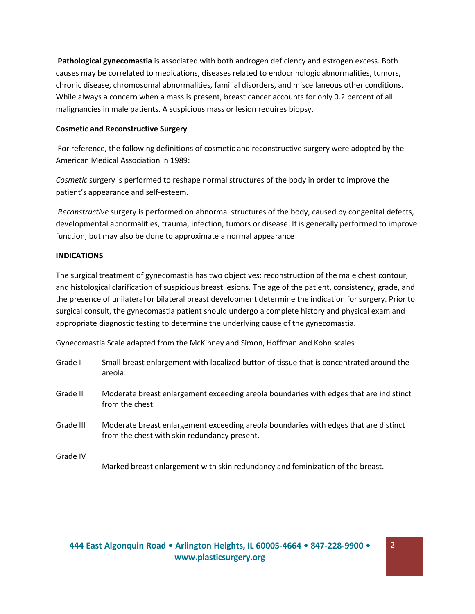**Pathological gynecomastia** is associated with both androgen deficiency and estrogen excess. Both causes may be correlated to medications, diseases related to endocrinologic abnormalities, tumors, chronic disease, chromosomal abnormalities, familial disorders, and miscellaneous other conditions. While always a concern when a mass is present, breast cancer accounts for only 0.2 percent of all malignancies in male patients. A suspicious mass or lesion requires biopsy.

## **Cosmetic and Reconstructive Surgery**

For reference, the following definitions of cosmetic and reconstructive surgery were adopted by the American Medical Association in 1989:

*Cosmetic* surgery is performed to reshape normal structures of the body in order to improve the patient's appearance and self-esteem.

*Reconstructive* surgery is performed on abnormal structures of the body, caused by congenital defects, developmental abnormalities, trauma, infection, tumors or disease. It is generally performed to improve function, but may also be done to approximate a normal appearance

## **INDICATIONS**

The surgical treatment of gynecomastia has two objectives: reconstruction of the male chest contour, and histological clarification of suspicious breast lesions. The age of the patient, consistency, grade, and the presence of unilateral or bilateral breast development determine the indication for surgery. Prior to surgical consult, the gynecomastia patient should undergo a complete history and physical exam and appropriate diagnostic testing to determine the underlying cause of the gynecomastia.

Gynecomastia Scale adapted from the McKinney and Simon, Hoffman and Kohn scales

| Grade I   | Small breast enlargement with localized button of tissue that is concentrated around the<br>areola.                                  |
|-----------|--------------------------------------------------------------------------------------------------------------------------------------|
| Grade II  | Moderate breast enlargement exceeding areola boundaries with edges that are indistinct<br>from the chest.                            |
| Grade III | Moderate breast enlargement exceeding areola boundaries with edges that are distinct<br>from the chest with skin redundancy present. |
| Grade IV  | Marked breast enlargement with skin redundancy and feminization of the breast.                                                       |

2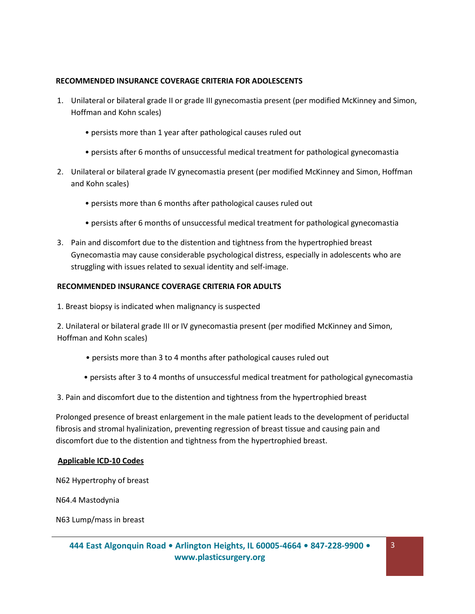## **RECOMMENDED INSURANCE COVERAGE CRITERIA FOR ADOLESCENTS**

- 1. Unilateral or bilateral grade II or grade III gynecomastia present (per modified McKinney and Simon, Hoffman and Kohn scales)
	- persists more than 1 year after pathological causes ruled out
	- persists after 6 months of unsuccessful medical treatment for pathological gynecomastia
- 2. Unilateral or bilateral grade IV gynecomastia present (per modified McKinney and Simon, Hoffman and Kohn scales)
	- persists more than 6 months after pathological causes ruled out
	- persists after 6 months of unsuccessful medical treatment for pathological gynecomastia
- 3. Pain and discomfort due to the distention and tightness from the hypertrophied breast Gynecomastia may cause considerable psychological distress, especially in adolescents who are struggling with issues related to sexual identity and self-image.

### **RECOMMENDED INSURANCE COVERAGE CRITERIA FOR ADULTS**

1. Breast biopsy is indicated when malignancy is suspected

2. Unilateral or bilateral grade III or IV gynecomastia present (per modified McKinney and Simon, Hoffman and Kohn scales)

- persists more than 3 to 4 months after pathological causes ruled out
- persists after 3 to 4 months of unsuccessful medical treatment for pathological gynecomastia

3. Pain and discomfort due to the distention and tightness from the hypertrophied breast

Prolonged presence of breast enlargement in the male patient leads to the development of periductal fibrosis and stromal hyalinization, preventing regression of breast tissue and causing pain and discomfort due to the distention and tightness from the hypertrophied breast.

### **Applicable ICD-10 Codes**

N62 Hypertrophy of breast

N64.4 Mastodynia

N63 Lump/mass in breast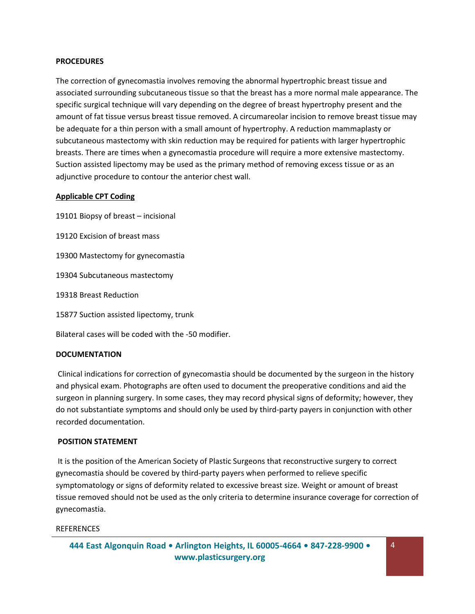#### **PROCEDURES**

The correction of gynecomastia involves removing the abnormal hypertrophic breast tissue and associated surrounding subcutaneous tissue so that the breast has a more normal male appearance. The specific surgical technique will vary depending on the degree of breast hypertrophy present and the amount of fat tissue versus breast tissue removed. A circumareolar incision to remove breast tissue may be adequate for a thin person with a small amount of hypertrophy. A reduction mammaplasty or subcutaneous mastectomy with skin reduction may be required for patients with larger hypertrophic breasts. There are times when a gynecomastia procedure will require a more extensive mastectomy. Suction assisted lipectomy may be used as the primary method of removing excess tissue or as an adjunctive procedure to contour the anterior chest wall.

### **Applicable CPT Coding**

19101 Biopsy of breast – incisional 19120 Excision of breast mass 19300 Mastectomy for gynecomastia 19304 Subcutaneous mastectomy 19318 Breast Reduction 15877 Suction assisted lipectomy, trunk Bilateral cases will be coded with the -50 modifier.

### **DOCUMENTATION**

Clinical indications for correction of gynecomastia should be documented by the surgeon in the history and physical exam. Photographs are often used to document the preoperative conditions and aid the surgeon in planning surgery. In some cases, they may record physical signs of deformity; however, they do not substantiate symptoms and should only be used by third-party payers in conjunction with other recorded documentation.

#### **POSITION STATEMENT**

It is the position of the American Society of Plastic Surgeons that reconstructive surgery to correct gynecomastia should be covered by third-party payers when performed to relieve specific symptomatology or signs of deformity related to excessive breast size. Weight or amount of breast tissue removed should not be used as the only criteria to determine insurance coverage for correction of gynecomastia.

4

#### **REFERENCES**